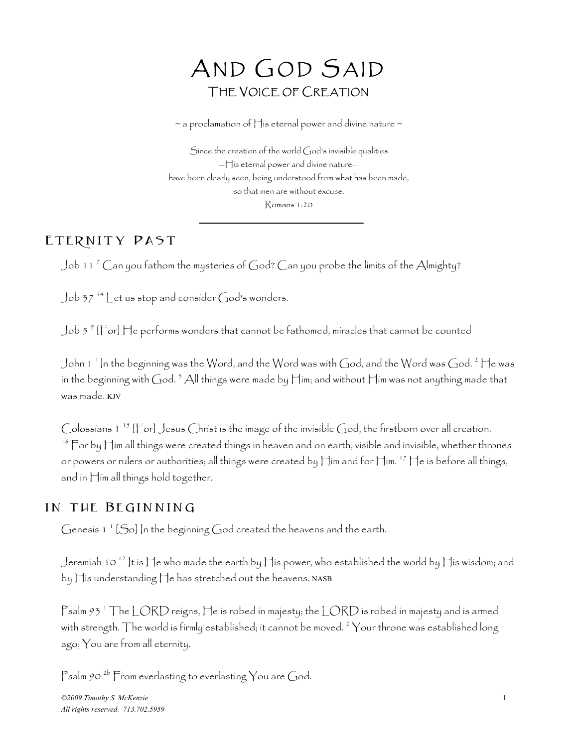# AND GOD SAID THE VOICE OF CREATION

 $\sim$  a proclamation of  $\bigcap$  is eternal power and divine nature  $\sim$ 

Since the creation of the world God's invisible qualities --His eternal power and divine nature have been clearly seen, being understood from what has been made, so that men are without excuse. Romans 1:20

#### ETERNITY PAST

Job 11 <sup>7</sup> Can you fathom the mysteries of God? Can you probe the limits of the Almighty?

 $J$ ob 37<sup>14</sup> Let us stop and consider God's wonders.

Job 5  $^{\circ}$  [For] He performs wonders that cannot be fathomed, miracles that cannot be counted  $\,$ 

John 1  $^1$  In the beginning was the Word, and the Word was with God, and the Word was God.  $^2$  He was  $\,$ in the beginning with God.  $^3$  All things were made by Him; and without Him was not anything made that was made. KJV

Colossians  $1^{15}$  [For] Jesus Christ is the image of the invisible God, the firstborn over all creation.  $^{16}$  For by Him all things were created things in heaven and on earth, visible and invisible, whether thrones or powers or rulers or authorities; all things were created by Him and for Him. 17 He is before all things, and in Him all things hold together.

#### in the Beginning

Genesis 1  $^{\prime}$  [So] |n the beginning God created the heavens and the earth.

Jeremiah 10  $^{12}$  It is He who made the earth by His power, who established the world by His wisdom; and by His understanding He has stretched out the heavens. NASB

Psalm 93  $^{\circ}$  The LORD reigns, He is robed in majesty; the LORD is robed in majesty and is armed with strength. The world is firmly established; it cannot be moved.  $^2$   $\vee$ our throne was established long ago; You are from all eternity.

Psalm 90<sup>2b</sup> From everlasting to everlasting You are God.

*©2009 Timothy S. McKenzie* 1 *All rights reserved. 713.702.5959*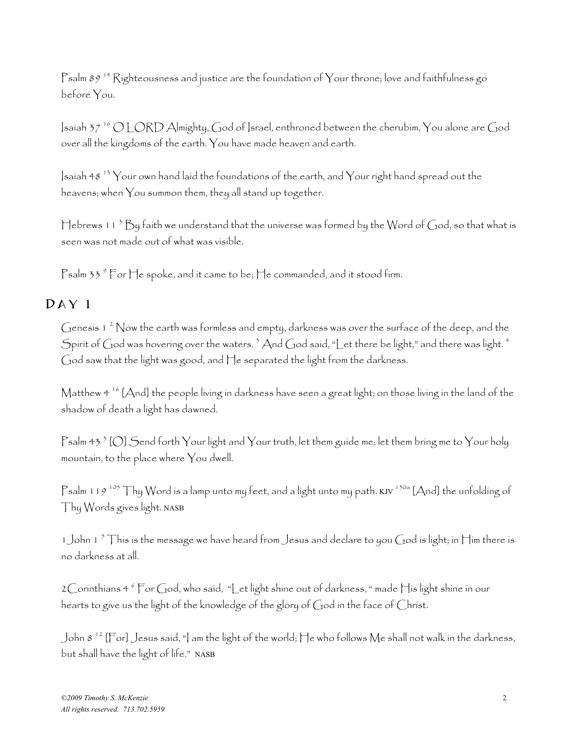Psalm  $89$ <sup>14</sup> Righteousness and justice are the foundation of Your throne; love and faithfulness go before You.

Isaiah 37 16 O LORD Almighty, God of Israel, enthroned between the cherubim, You alone are God over all the kingdoms of the earth. You have made heaven and earth.

 $\sinh 48$  <sup>13</sup> Your own hand laid the foundations of the earth, and Your right hand spread out the heavens; when You summon them, they all stand up together.

Hebrews 11  $^3$  By faith we understand that the universe was formed by the Word of God, so that what is seen was not made out of what was visible.

Psalm 33  $^{\circ}$  For He spoke, and it came to be; He commanded, and it stood firm.

#### Day 1

Genesis 1  $^{2}$  Now the earth was formless and empty, darkness was over the surface of the deep, and the Spirit of God was hovering over the waters.  $^3$  And God said, "Let there be light," and there was light.  $^4$ God saw that the light was good, and He separated the light from the darkness.

Matthew 4 16 [And] the people living in darkness have seen a great light; on those living in the land of the shadow of death a light has dawned.

Psalm 43  $^{\circ}$  [O] Send forth Your light and Your truth, let them guide me; let them bring me to Your holy mountain, to the place where You dwell.

Psalm 119<sup>105</sup> Thy Word is a lamp unto my feet, and a light unto my path. KJV  $^{130a}$  [And] the unfolding of Thy Words gives light. NASB

1 John 1  $^5$  This is the message we have heard from Jesus and declare to you God is light; in Him there is no darkness at all.

2 $\bigcirc$ orínthians 4  $^6$   $\mathsf{For}$   $\bigcirc$ od, who said, "Let light shine out of darkness, " made  $\biguparrow$ is light shine in our hearts to give us the light of the knowledge of the glory of God in the face of Christ.

John 8  $^{12}$  [For] Jesus said, "] am the light of the world; He who follows Me shall not walk in the darkness, but shall have the light of life." NASB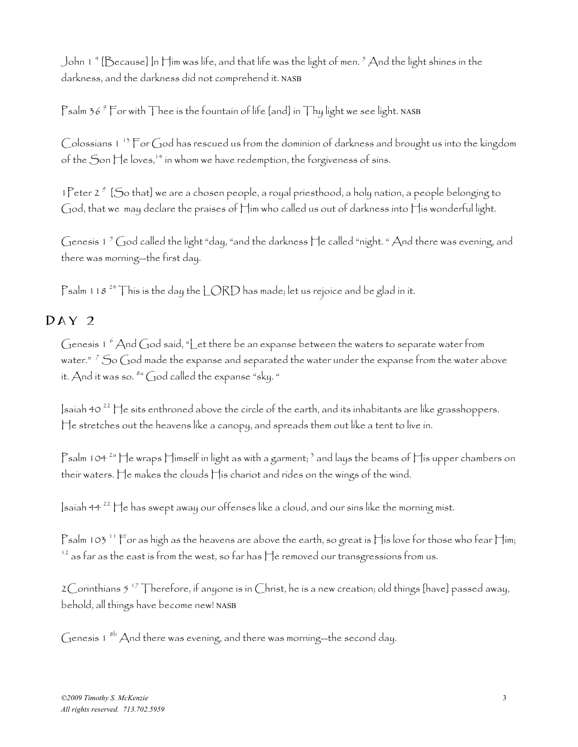John 1  $^+$  [Because] In Him was life, and that life was the light of men.  $^5$  And the light shines in the  $\,$ darkness, and the darkness did not comprehend it. NASB

Psalm 36  $^{\circ}$  For with Thee is the fountain of life [and] in Thy light we see light. <code>NASB</code>

Colossians 1 13 For God has rescued us from the dominion of darkness and brought us into the kingdom of the  $S$ on  $\mathcal{H}$ e loves,  $\mathcal{H}^*$  in whom we have redemption, the forgiveness of sins.

1 Peter 2<sup>9</sup> [So that] we are a chosen people, a royal priesthood, a holy nation, a people belonging to God, that we may declare the praises of Him who called us out of darkness into His wonderful light.

Genesis 1  $^5$  God called the light "day, "and the darkness  $\sqcap$ e called "night. " And there was evening, and there was morning--the first day.

Psalm 118<sup>24</sup> This is the day the LORD has made; let us rejoice and be glad in it.

## DAY<sub>2</sub>

Genesis 1  $^6$  And God said, "Let there be an expanse between the waters to separate water from water."  $^7$  So God made the expanse and separated the water under the expanse from the water above it. And it was so.  ${}^{8a}$  God called the expanse "sky. "

 $\vert$ saiah 40<sup>22</sup>  $\vert \cdot \vert$ e sits enthroned above the circle of the earth, and its inhabitants are like grasshoppers. He stretches out the heavens like a canopy, and spreads them out like a tent to live in.

Psalm 104  $^{2a}$  He wraps Himself in light as with a garment;  $^3$  and lays the beams of His upper chambers on their waters. He makes the clouds His chariot and rides on the wings of the wind.

Isaiah 44 22 He has swept away our offenses like a cloud, and our sins like the morning mist.

Psalm 103<sup>11</sup> For as high as the heavens are above the earth, so great is His love for those who fear Him;  $^{12}$  as far as the east is from the west, so far has  $\Box$ e removed our transgressions from us.

2 Corinthians 5  $^{17}$  Therefore, if anyone is in Christ, he is a new creation; old things [have] passed away, behold, all things have become new! NASB

Genesis  $1^{8b}$  And there was evening, and there was morning--the second day.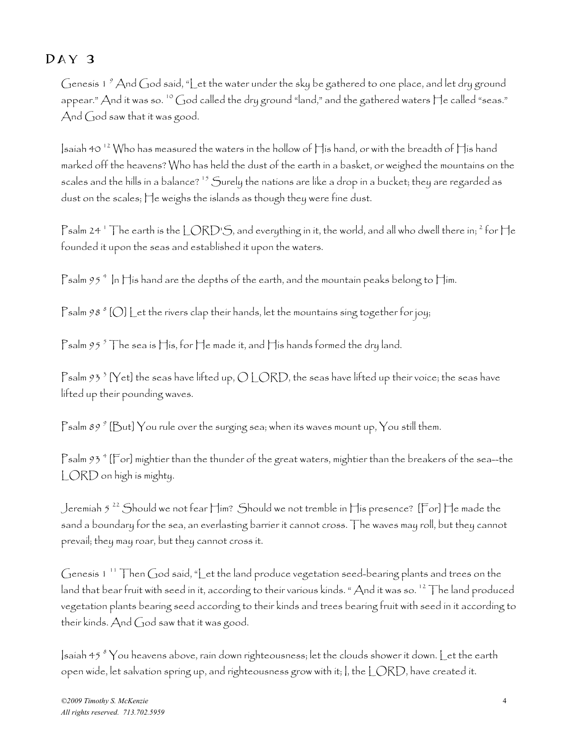# Day 3

Genesis 1  $^{\circ}$  And God said, "Let the water under the sky be gathered to one place, and let dry ground appear." And it was so. 10 God called the dry ground "land," and the gathered waters He called "seas." And God saw that it was good.

Isaiah 40<sup>12</sup> Who has measured the waters in the hollow of  $\prod$  is hand, or with the breadth of  $\prod$  is hand marked off the heavens? Who has held the dust of the earth in a basket, or weighed the mountains on the scales and the hills in a balance? 15 Surely the nations are like a drop in a bucket; they are regarded as dust on the scales; He weighs the islands as though they were fine dust.

Psalm 24  $^{\circ}$  The earth is the LORD'S, and everything in it, the world, and all who dwell there in;  $^2$  for He founded it upon the seas and established it upon the waters.

Psalm 95  $^{\circ}$  In His hand are the depths of the earth, and the mountain peaks belong to Him.

 $\mathsf{P}\mathsf{salm}\, g\, s\, {}^s[\bigcirc] \mathsf{L}$ et the rivers clap their hands, let the mountains sing together for joy;

Psalm 95  $^5$  The sea is His, for He made it, and His hands formed the dry land.

Psalm 93  $^3$  [Yet] the seas have lifted up, O LORD, the seas have lifted up their voice; the seas have lifted up their pounding waves.

Psalm 89  $^g$  [But]  $\rm Y$ ou rule over the surging sea; when its waves mount up,  $\rm Y$ ou still them.

Psalm 93  $^{\circ}$  [For] mightier than the thunder of the great waters, mightier than the breakers of the sea—the LORD on high is mighty.

Jeremiah 5 22 Should we not fear Him? Should we not tremble in His presence? [For] He made the sand a boundary for the sea, an everlasting barrier it cannot cross. The waves may roll, but they cannot prevail; they may roar, but they cannot cross it.

Genesis 1  $^{\prime\prime}$  Then God said, "Let the land produce vegetation seed-bearing plants and trees on the land that bear fruit with seed in it, according to their various kinds. "And it was so.<sup>12</sup> The land produced vegetation plants bearing seed according to their kinds and trees bearing fruit with seed in it according to their kinds. And God saw that it was good.

 $|$ saíah 45  $^s$   $\rm{Y}$ ou heavens above, raín down ríghteousness; let the clouds shower ít down.  $\rm{L}$ et the earth open wide, let salvation spring up, and righteousness grow with it; I, the LORD, have created it.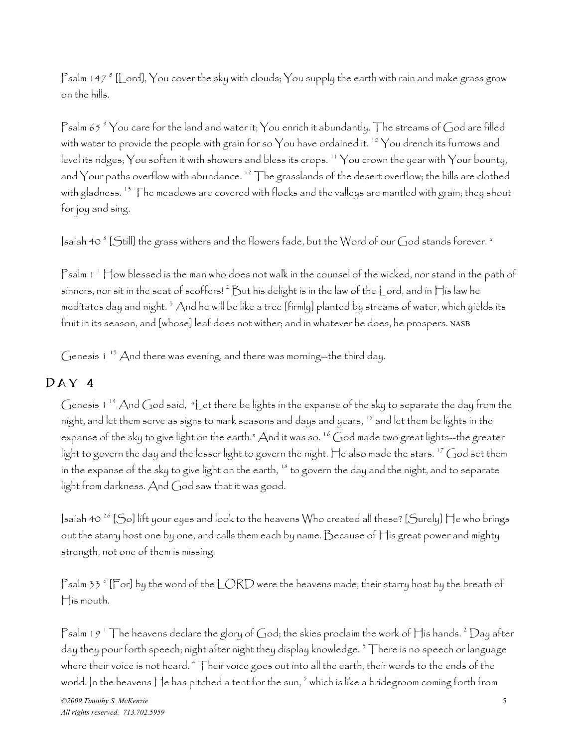Psalm 147  $^s$  [[\_ord],  $\rm Y$ ou cover the sky with clouds;  $\rm Y$ ou supply the earth with rain and make grass grow on the hills.

Psalm 65  $^{\circ}$   $\rm Y$ ou care for the land and water it;  $\rm Y$ ou enrich it abundantly. The streams of God are filled with water to provide the people with grain for so You have ordained it.  $10$  You drench its furrows and level its ridges; You soften it with showers and bless its crops. 11 You crown the year with Your bounty, and Your paths overflow with abundance.  $12$  The grasslands of the desert overflow; the hills are clothed with gladness.<sup>13</sup> The meadows are covered with flocks and the valleys are mantled with grain; they shout for joy and sing.

 $|$ saiah 40  $^s$  [Still] the grass withers and the flowers fade, but the Word of our God stands forever. "

Psalm 1 <sup>1</sup> How blessed is the man who does not walk in the counsel of the wicked, nor stand in the path of sinners, nor sit in the seat of scoffers!  $^2$   $\rm{But}$  his delight is in the law of the  $\rm{L}$ ord, and in  $\rm{H}$ is law he meditates day and night.  $^3$  And he will be like a tree [firmly] planted by streams of water, which yields its fruit in its season, and [whose] leaf does not wither; and in whatever he does, he prospers. NASB

Genesis  $1^{-13}$  And there was evening, and there was morning--the third day.

#### Day 4

Genesis 1 14 And God said, "Let there be lights in the expanse of the sky to separate the day from the night, and let them serve as signs to mark seasons and days and years,  $^{15}$  and let them be lights in the expanse of the sky to give light on the earth." And it was so. <sup>16</sup> God made two great lights--the greater light to govern the day and the lesser light to govern the night. He also made the stars.  $^{17}$  God set them in the expanse of the sky to give light on the earth,  $18$  to govern the day and the night, and to separate light from darkness. And God saw that it was good.

 $\vert$ saiah 40<sup>26</sup> [So] lift your eyes and look to the heavens Who created all these? [Surely]  $\vert \cdot \vert$ e who brings out the starry host one by one, and calls them each by name. Because of His great power and mighty strength, not one of them is missing.

Psalm 33  $^{\circ}$  [For] by the word of the LORD were the heavens made, their starry host by the breath of His mouth.

Psalm 19  $^{\circ}$  The heavens declare the glory of God; the skies proclaim the work of His hands.  $^{\circ}$  Day after day they pour forth speech; night after night they display knowledge. 3 There is no speech or language where their voice is not heard.  $^\mathrm{4}$   $\top$ heir voice goes out into all the earth, their words to the ends of the world. In the heavens  $\sqcap$ e has pitched a tent for the sun,  $^5$  which is like a bridegroom coming forth from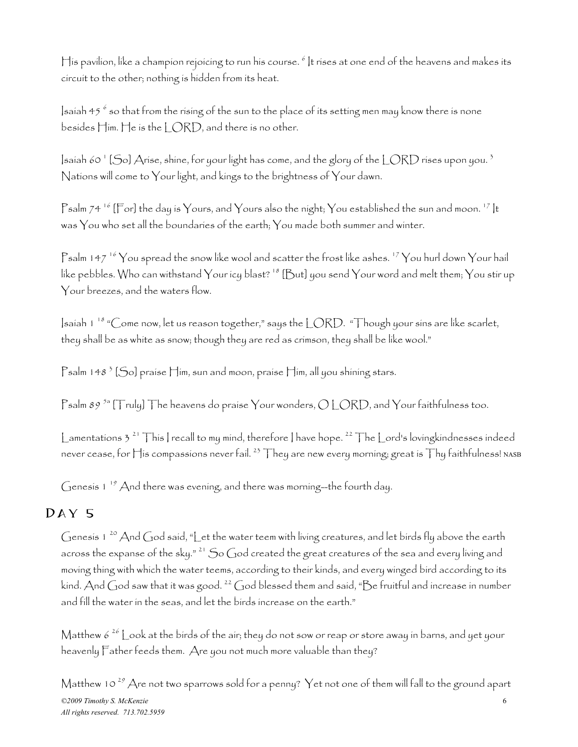His pavilion, like a champion rejoicing to run his course.  $^{\circ}$  It rises at one end of the heavens and makes its circuit to the other; nothing is hidden from its heat.

 $|$ saiah 45  $^6$  so that from the rising of the sun to the place of its setting men may know there is none besides  $\lim_{n \to \infty}$  He is the  $|\bigcirc RD$ , and there is no other.

]saíah 60  $^{\circ}$  [So] Aríse, shíne, for your light has come, and the glory of the LORD ríses upon you.  $^{\circ}$ Nations will come to Your light, and kings to the brightness of Your dawn.

Psalm 74<sup>16</sup> [For] the day is Yours, and Yours also the night; You established the sun and moon.<sup>17</sup> |t was You who set all the boundaries of the earth; You made both summer and winter.

Psalm 147<sup>16</sup> You spread the snow like wool and scatter the frost like ashes. <sup>17</sup> You hurl down Your hail like pebbles. Who can withstand Your icy blast? 18 [But] you send Your word and melt them; You stir up Your breezes, and the waters flow.

 $\frac{1}{2}$  Isaiah 1<sup>18</sup> "Come now, let us reason together," says the LORD. "Though your sins are like scarlet, they shall be as white as snow; though they are red as crimson, they shall be like wool."

 $\mathsf{P}\mathsf{salm}$  148  $^3$  [So] praise  $\mathsf{H}$ im, sun and moon, praise  $\mathsf{H}$ im, all you shining stars.

Psalm 89<sup>5a</sup> [Truly] The heavens do praise Your wonders,  $O$  LORD, and Your faithfulness too.

Lamentations 3<sup>21</sup> This | recall to my mind, therefore | have hope. <sup>22</sup> The Lord's lovingkindnesses indeed never cease, for  $\prod$ is compassions never fail.  $^{23}$  They are new every morning; great is Thy faithfulness! NASB

Genesis 1<sup>19</sup> And there was evening, and there was morning--the fourth day.

# Day 5

Genesis 1<sup>20</sup> And God said, "Let the water teem with living creatures, and let birds fly above the earth across the expanse of the sky."<sup>21</sup> So God created the great creatures of the sea and every living and moving thing with which the water teems, according to their kinds, and every winged bird according to its kind. And God saw that it was good.  $^{22}$  God blessed them and said, "Be fruitful and increase in number and fill the water in the seas, and let the birds increase on the earth."

Matthew  $6^{26}$  Look at the birds of the air; they do not sow or reap or store away in barns, and yet your heavenly Father feeds them. Are you not much more valuable than they?

*©2009 Timothy S. McKenzie* 6 *All rights reserved. 713.702.5959* Matthew 10  $^{29}$  Are not two sparrows sold for a penny? Yet not one of them will fall to the ground apart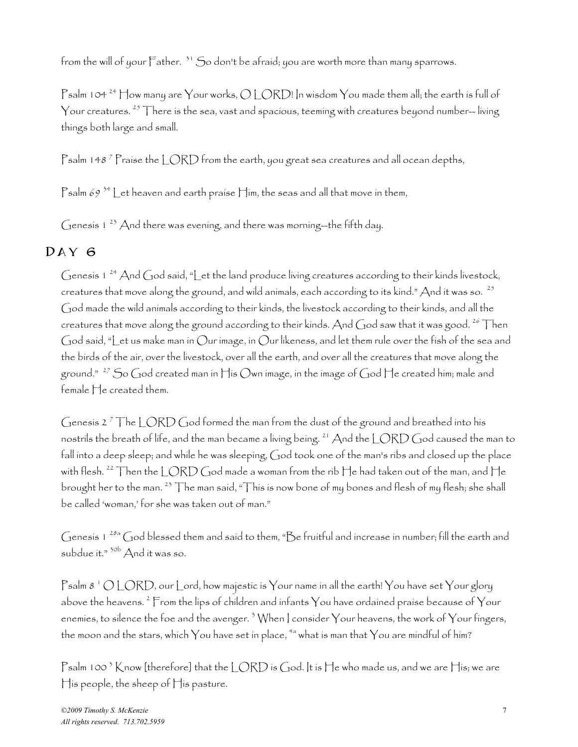from the will of your Father.<sup>31</sup> So don't be afraid; you are worth more than many sparrows.

Psalm 104<sup>24</sup> How many are Your works,  $O$  LORD! In wisdom You made them all; the earth is full of Your creatures.  $^{25}$  There is the sea, vast and spacious, teeming with creatures beyond number-- living things both large and small.

Psalm 148 <sup>7</sup> Praise the LORD from the earth, you great sea creatures and all ocean depths,

Psalm 69<sup>34</sup> Let heaven and earth praise  $\Box$ im, the seas and all that move in them,

Genesis  $1^{23}$  And there was evening, and there was morning--the fifth day.

## Day 6

Genesis 1<sup>24</sup> And God said, "Let the land produce living creatures according to their kinds livestock, creatures that move along the ground, and wild animals, each according to its kind." And it was so. <sup>25</sup> God made the wild animals according to their kinds, the livestock according to their kinds, and all the creatures that move along the ground according to their kinds. And God saw that it was good.  $^{26}$  Then God said, "Let us make man in Our image, in Our likeness, and let them rule over the fish of the sea and the birds of the air, over the livestock, over all the earth, and over all the creatures that move along the ground."  $^{27}$  So God created man in His Own image, in the image of God He created him; male and female He created them.

Genesis 2  $^7$  The LORD God formed the man from the dust of the ground and breathed into his nostrils the breath of life, and the man became a living being.  $^{21}$  And the LORD God caused the man to fall into a deep sleep; and while he was sleeping, God took one of the man's ribs and closed up the place with flesh. <sup>22</sup> Then the LORD God made a woman from the rib He had taken out of the man, and He brought her to the man. 23 The man said, "This is now bone of my bones and flesh of my flesh; she shall be called 'woman,' for she was taken out of man."

Genesis 1 28a God blessed them and said to them, "Be fruitful and increase in number; fill the earth and subdue it." 30b And it was so.

Psalm 8  $^{\circ}$  O LORD, our Lord, how majestic is Your name in all the earth! You have set Your glory above the heavens.  $^2$  From the lips of children and infants  $\gamma$ ou have ordained praise because of  $\gamma$ our enemies, to silence the foe and the avenger.  $^3$  When | consider  $\gamma$ our heavens, the work of  $\gamma$ our fingers, the moon and the stars, which  $\gamma$ ou have set in place, <sup>4a</sup> what is man that  $\gamma$ ou are mindful of him?

Psalm 100  $^3$  Know [therefore] that the LORD is God. It is He who made us, and we are His; we are His people, the sheep of His pasture.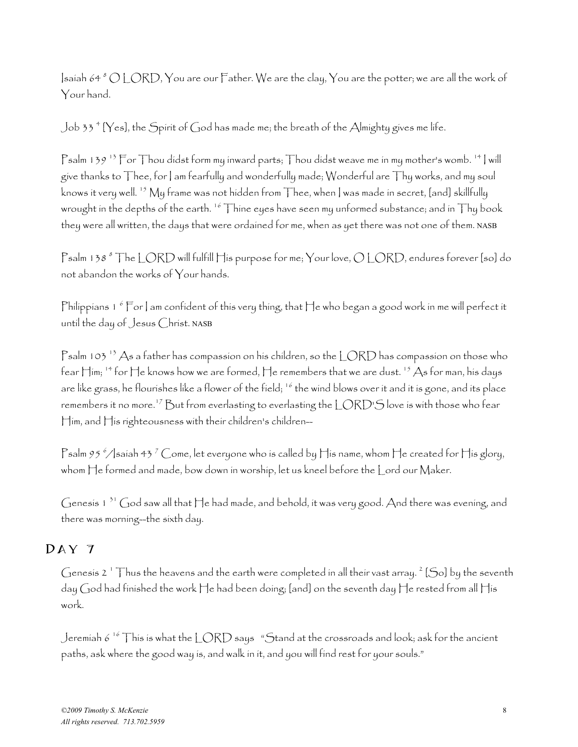Isaiah 64  $^s$  O LORD, You are our Father. We are the clay, You are the potter; we are all the work of Your hand.

Job 33 <sup>4</sup> [Yes], the Spirit of God has made me; the breath of the Almighty gives me life.

Psalm 139<sup>13</sup> For Thou didst form my inward parts; Thou didst weave me in my mother's womb. <sup>14</sup> | will give thanks to  $\top$ hee, for  $|$  am fearfully and wonderfully made; Wonderful are  $\top$ hy works, and my soul knows it very well.  $^{15}$  My frame was not hidden from Thee, when I was made in secret, [and] skillfully wrought in the depths of the earth.<sup>16</sup> Thine eyes have seen my unformed substance; and in Thy book they were all written, the days that were ordained for me, when as yet there was not one of them. NASB

Psalm 138 <sup>8</sup> The LORD will fulfill His purpose for me; Your love, O LORD, endures forever [so] do not abandon the works of Your hands.

Philippians 1  $^6$  For ] am confident of this very thing, that He who began a good work in me will perfect it until the day of Jesus Christ. NASB

Psalm 103  $^{13}$  As a father has compassion on his children, so the LORD has compassion on those who fear  $\boxplus$ im; <sup>14</sup> for  $\boxplus$ e knows how we are formed,  $\boxplus$ e remembers that we are dust. <sup>15</sup> As for man, his days are like grass, he flourishes like a flower of the field; <sup>16</sup> the wind blows over it and it is gone, and its place remembers it no more.<sup>17</sup> But from everlasting to everlasting the LORD'S love is with those who fear Him, and His righteousness with their children's children--

Psalm 95  $^{\circ}/$ lsaiah 43  $^{\circ}$  Come, let everyone who is called by His name, whom He created for His glory, whom He formed and made, bow down in worship, let us kneel before the Lord our Maker.

Genesis 1 31 God saw all that He had made, and behold, it was very good. And there was evening, and there was morning--the sixth day.

### Day 7

Genesis 2  $^{\circ}$  Thus the heavens and the earth were completed in all their vast array.  $^{\circ}$  [So] by the seventh day God had finished the work He had been doing; [and] on the seventh day He rested from all His work.

Jeremiah 6  $^{16}$  This is what the LORD says "Stand at the crossroads and look; ask for the ancient paths, ask where the good way is, and walk in it, and you will find rest for your souls."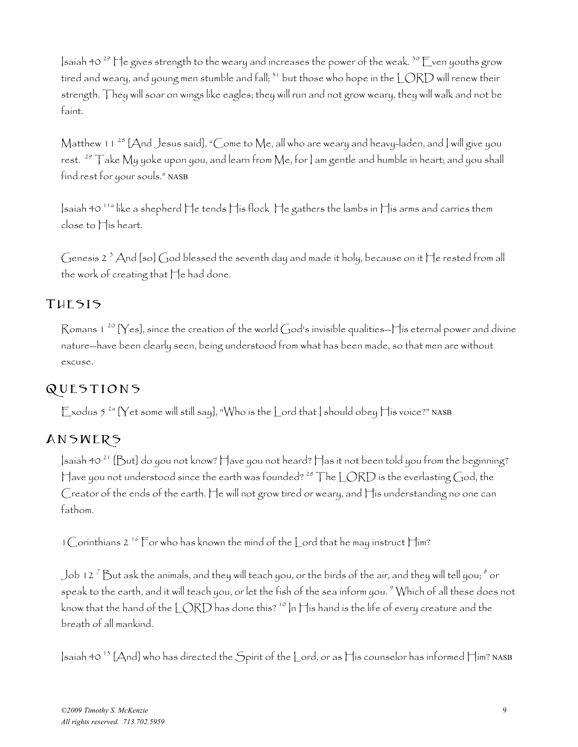Isaiah 40<sup>29</sup> He gives strength to the weary and increases the power of the weak.<sup>30</sup> Even youths grow tired and weary, and young men stumble and fall;  $51$  but those who hope in the LORD will renew their strength. They will soar on wings like eagles; they will run and not grow weary, they will walk and not be faint.

Matthew 11  $^{28}$  [And Jesus said], "Come to Me, all who are weary and heavy-laden, and ] will give you rest.  $^{29}$  Take My yoke upon you, and learn from Me, for I am gentle and humble in heart; and you shall find rest for your souls." NASB

Isaiah 40 11a like a shepherd He tends His flock He gathers the lambs in His arms and carries them close to His heart.

Genesis 2  $^3$  And [so] God blessed the seventh day and made it holy, because on it He rested from all the work of creating that He had done.

## THESIS

Romans 1<sup>20</sup> [Yes], since the creation of the world God's invisible qualities-- $\Box$  is eternal power and divine nature--have been clearly seen, being understood from what has been made, so that men are without excuse.

# QUESTIONS

Exodus  $5^{2a}$  [Yet some will still say], "Who is the Lord that | should obey His voice?" NASB

# Answers

 $\vert$ saiah 40<sup>21</sup> [But] do you not know? Have you not heard? Has it not been told you from the beginning? Have you not understood since the earth was founded?<sup>28</sup> The LORD is the everlasting God, the Creator of the ends of the earth. He will not grow tired or weary, and His understanding no one can fathom.

1 Corinthians 2<sup>16</sup> For who has known the mind of the Lord that he may instruct Him?

Job 12  $^7$  But ask the animals, and they will teach you, or the birds of the air, and they will tell you;  $^s$  or speak to the earth, and it will teach you, or let the fish of the sea inform you.  $^{\circ}$  Which of all these does not know that the hand of the LORD has done this? <sup>10</sup> In His hand is the life of every creature and the breath of all mankind.

Isaiah 40 13 [And] who has directed the Spirit of the Lord, or as His counselor has informed Him? NASB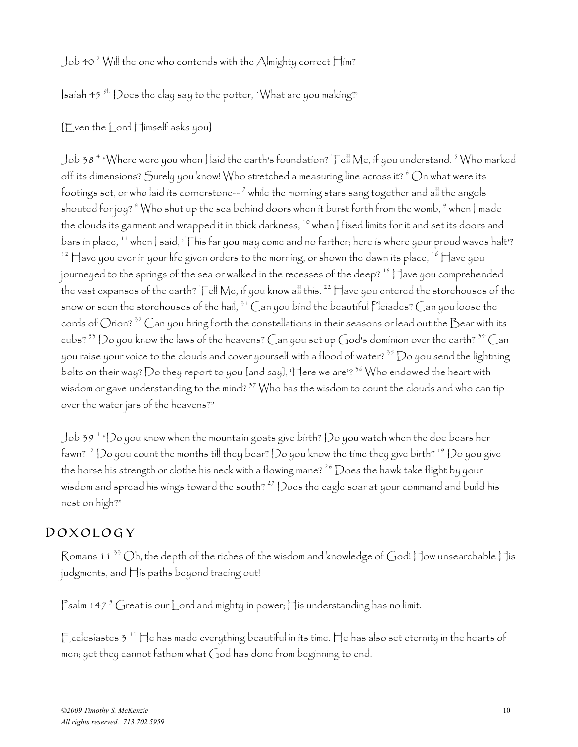#### <code>Job</code> 40  $^{\rm 2}$  Will the one who contends with the <code>Almighty</code> correct <code>Him?</code>

 $\sinh 45$ <sup>9b</sup> Does the clay say to the potter, 'What are you making?'

#### [Even the Lord Himself asks you]

Job 38  $^{\circ}$  "Where were you when | laíd the earth's foundatíon? Tell Me, if you understand.  $^{\circ}$  Who marked off its dimensions? Surely you know! Who stretched a measuring line across it?  $^6$  On what were its footings set, or who laid its cornerstone—  $^7$  while the morning stars sang together and all the angels  $\,$ shouted for joy?  $^s$  Who shut up the sea behind doors when it burst forth from the womb,  $^s$  when ] made the clouds its garment and wrapped it in thick darkness, <sup>10</sup> when | fixed limits for it and set its doors and bars in place, <sup>11</sup> when | said, 'This far you may come and no farther; here is where your proud waves halt'?  $12$  Have you ever in your life given orders to the morning, or shown the dawn its place,  $16$  Have you journeyed to the springs of the sea or walked in the recesses of the deep? 18 Have you comprehended the vast expanses of the earth? Tell Me, if you know all this.  $^{22}$  Have you entered the storehouses of the snow or seen the storehouses of the hail,  $31$  Can you bind the beautiful Pleiades? Can you loose the cords of Orion?  $^{32}$  Can you bring forth the constellations in their seasons or lead out the Bear with its cubs?  $33$  Do you know the laws of the heavens? Can you set up God's dominion over the earth?  $34$  Can you raise your voice to the clouds and cover yourself with a flood of water?  $^{35}$   $\rm{O}$ o you send the lightning bolts on their way? Do they report to you [and say], 'Here we are'?  $36$  Who endowed the heart with wisdom or gave understanding to the mind?  $37$  Who has the wisdom to count the clouds and who can tip over the water jars of the heavens?"

Job 39  $^{\rm +}$  "Do you know when the mountain goats give birth? Do you watch when the doe bears her fawn?  $^2$   $\rm{Do}$  you count the months till they bear?  $\rm{Do}$  you know the time they give birth?  $^{19}$   $\rm{Do}$  you give the horse his strength or clothe his neck with a flowing mane?  $^{26}$  Does the hawk take flight by your wisdom and spread his wings toward the south?  $^{27}$  Does the eagle soar at your command and build his nest on high?"

#### Doxology

Romans 11<sup>33</sup> Oh, the depth of the riches of the wisdom and knowledge of God! How unsearchable His judgments, and His paths beyond tracing out!

 $\mathsf{P}\mathsf{s}\mathsf{a}\mathsf{l}\mathsf{m}$  147  $^5$  Great is our  $\mathsf{l}\mathsf{.}$  ord and  $\mathsf{m}\mathsf{i}\mathsf{g}\mathsf{h}$ ty in power;  $\mathsf{l}\mathsf{l}\mathsf{i}\mathsf{s}\mathsf{u}$ nderstanding  $\mathsf{h}\mathsf{a}\mathsf{s}\mathsf{n}\mathsf{o}\mathsf{l}\mathsf{i}\mathsf{m}\mathsf{i}\mathsf{t}.$ 

Ecclesiastes  $3<sup>11</sup>$  He has made everything beautiful in its time. He has also set eternity in the hearts of men; yet they cannot fathom what God has done from beginning to end.